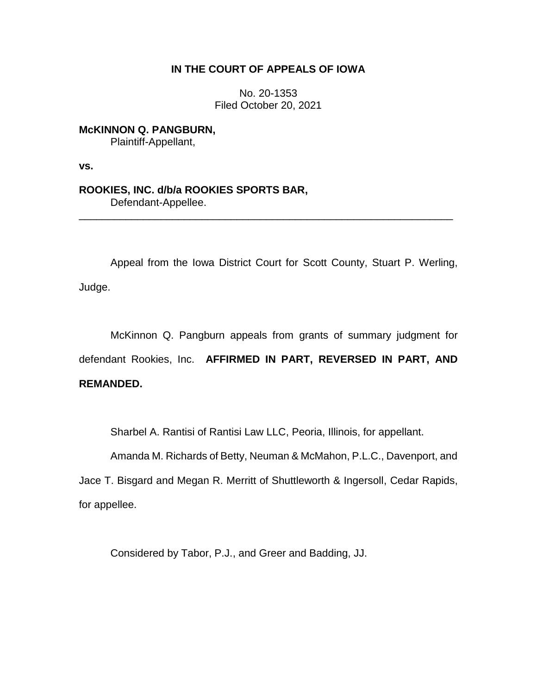# **IN THE COURT OF APPEALS OF IOWA**

No. 20-1353 Filed October 20, 2021

**McKINNON Q. PANGBURN,** Plaintiff-Appellant,

**vs.**

**ROOKIES, INC. d/b/a ROOKIES SPORTS BAR,** Defendant-Appellee.

Appeal from the Iowa District Court for Scott County, Stuart P. Werling, Judge.

\_\_\_\_\_\_\_\_\_\_\_\_\_\_\_\_\_\_\_\_\_\_\_\_\_\_\_\_\_\_\_\_\_\_\_\_\_\_\_\_\_\_\_\_\_\_\_\_\_\_\_\_\_\_\_\_\_\_\_\_\_\_\_\_

McKinnon Q. Pangburn appeals from grants of summary judgment for defendant Rookies, Inc. **AFFIRMED IN PART, REVERSED IN PART, AND REMANDED.**

Sharbel A. Rantisi of Rantisi Law LLC, Peoria, Illinois, for appellant.

Amanda M. Richards of Betty, Neuman & McMahon, P.L.C., Davenport, and

Jace T. Bisgard and Megan R. Merritt of Shuttleworth & Ingersoll, Cedar Rapids, for appellee.

Considered by Tabor, P.J., and Greer and Badding, JJ.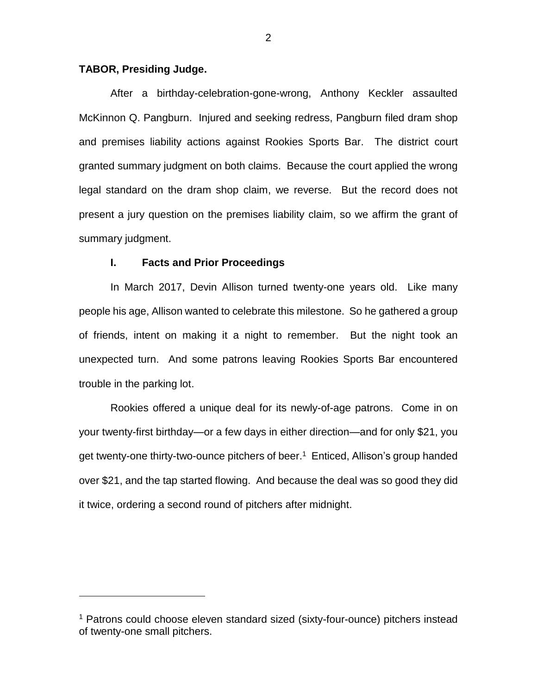### **TABOR, Presiding Judge.**

 $\overline{a}$ 

After a birthday-celebration-gone-wrong, Anthony Keckler assaulted McKinnon Q. Pangburn. Injured and seeking redress, Pangburn filed dram shop and premises liability actions against Rookies Sports Bar. The district court granted summary judgment on both claims. Because the court applied the wrong legal standard on the dram shop claim, we reverse. But the record does not present a jury question on the premises liability claim, so we affirm the grant of summary judgment.

#### **I. Facts and Prior Proceedings**

In March 2017, Devin Allison turned twenty-one years old. Like many people his age, Allison wanted to celebrate this milestone. So he gathered a group of friends, intent on making it a night to remember. But the night took an unexpected turn. And some patrons leaving Rookies Sports Bar encountered trouble in the parking lot.

Rookies offered a unique deal for its newly-of-age patrons. Come in on your twenty-first birthday—or a few days in either direction—and for only \$21, you get twenty-one thirty-two-ounce pitchers of beer.<sup>1</sup> Enticed, Allison's group handed over \$21, and the tap started flowing. And because the deal was so good they did it twice, ordering a second round of pitchers after midnight.

<sup>&</sup>lt;sup>1</sup> Patrons could choose eleven standard sized (sixty-four-ounce) pitchers instead of twenty-one small pitchers.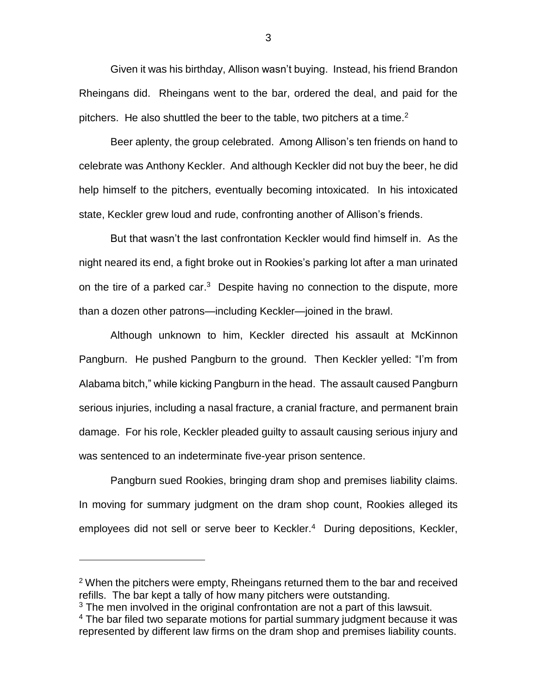Given it was his birthday, Allison wasn't buying. Instead, his friend Brandon Rheingans did. Rheingans went to the bar, ordered the deal, and paid for the pitchers. He also shuttled the beer to the table, two pitchers at a time.<sup>2</sup>

Beer aplenty, the group celebrated. Among Allison's ten friends on hand to celebrate was Anthony Keckler. And although Keckler did not buy the beer, he did help himself to the pitchers, eventually becoming intoxicated. In his intoxicated state, Keckler grew loud and rude, confronting another of Allison's friends.

But that wasn't the last confrontation Keckler would find himself in. As the night neared its end, a fight broke out in Rookies's parking lot after a man urinated on the tire of a parked car.<sup>3</sup> Despite having no connection to the dispute, more than a dozen other patrons—including Keckler—joined in the brawl.

Although unknown to him, Keckler directed his assault at McKinnon Pangburn. He pushed Pangburn to the ground. Then Keckler yelled: "I'm from Alabama bitch," while kicking Pangburn in the head. The assault caused Pangburn serious injuries, including a nasal fracture, a cranial fracture, and permanent brain damage. For his role, Keckler pleaded guilty to assault causing serious injury and was sentenced to an indeterminate five-year prison sentence.

Pangburn sued Rookies, bringing dram shop and premises liability claims. In moving for summary judgment on the dram shop count, Rookies alleged its employees did not sell or serve beer to Keckler. <sup>4</sup> During depositions, Keckler,

 $\overline{a}$ 

3

<sup>&</sup>lt;sup>2</sup> When the pitchers were empty, Rheingans returned them to the bar and received refills. The bar kept a tally of how many pitchers were outstanding.

 $3$  The men involved in the original confrontation are not a part of this lawsuit.

<sup>&</sup>lt;sup>4</sup> The bar filed two separate motions for partial summary judgment because it was represented by different law firms on the dram shop and premises liability counts.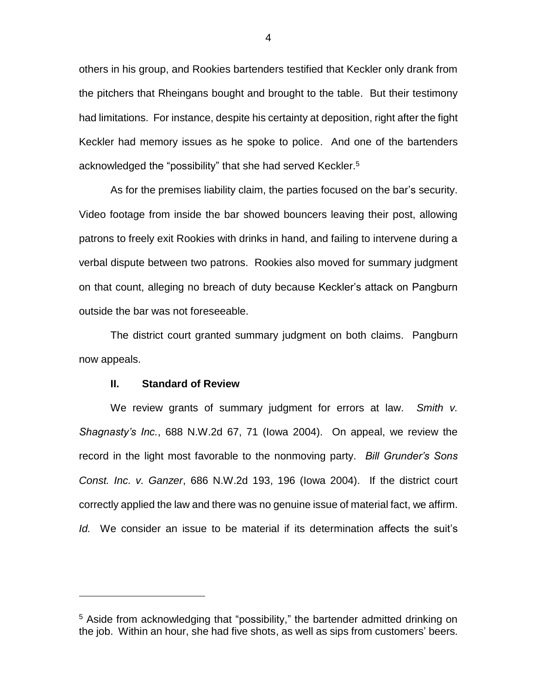others in his group, and Rookies bartenders testified that Keckler only drank from the pitchers that Rheingans bought and brought to the table. But their testimony had limitations. For instance, despite his certainty at deposition, right after the fight Keckler had memory issues as he spoke to police. And one of the bartenders acknowledged the "possibility" that she had served Keckler. 5

As for the premises liability claim, the parties focused on the bar's security. Video footage from inside the bar showed bouncers leaving their post, allowing patrons to freely exit Rookies with drinks in hand, and failing to intervene during a verbal dispute between two patrons. Rookies also moved for summary judgment on that count, alleging no breach of duty because Keckler's attack on Pangburn outside the bar was not foreseeable.

The district court granted summary judgment on both claims. Pangburn now appeals.

#### **II. Standard of Review**

 $\overline{a}$ 

We review grants of summary judgment for errors at law. *Smith v. Shagnasty's Inc.*, 688 N.W.2d 67, 71 (Iowa 2004). On appeal, we review the record in the light most favorable to the nonmoving party. *Bill Grunder's Sons Const. Inc. v. Ganzer*, 686 N.W.2d 193, 196 (Iowa 2004). If the district court correctly applied the law and there was no genuine issue of material fact, we affirm. *Id.* We consider an issue to be material if its determination affects the suit's

<sup>&</sup>lt;sup>5</sup> Aside from acknowledging that "possibility," the bartender admitted drinking on the job. Within an hour, she had five shots, as well as sips from customers' beers.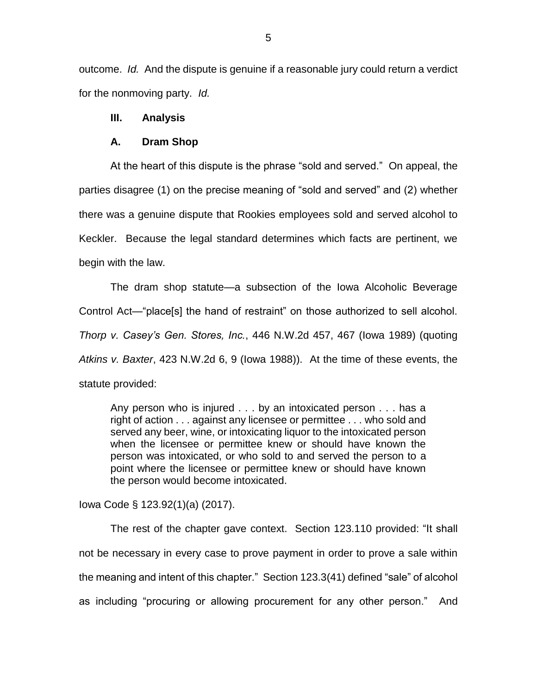outcome. *Id.* And the dispute is genuine if a reasonable jury could return a verdict for the nonmoving party. *Id.*

## **III. Analysis**

#### **A. Dram Shop**

At the heart of this dispute is the phrase "sold and served." On appeal, the parties disagree (1) on the precise meaning of "sold and served" and (2) whether there was a genuine dispute that Rookies employees sold and served alcohol to Keckler. Because the legal standard determines which facts are pertinent, we begin with the law.

The dram shop statute—a subsection of the Iowa Alcoholic Beverage Control Act—"place[s] the hand of restraint" on those authorized to sell alcohol. *Thorp v. Casey's Gen. Stores, Inc.*, 446 N.W.2d 457, 467 (Iowa 1989) (quoting *Atkins v. Baxter*, 423 N.W.2d 6, 9 (Iowa 1988)). At the time of these events, the statute provided:

Any person who is injured . . . by an intoxicated person . . . has a right of action . . . against any licensee or permittee . . . who sold and served any beer, wine, or intoxicating liquor to the intoxicated person when the licensee or permittee knew or should have known the person was intoxicated, or who sold to and served the person to a point where the licensee or permittee knew or should have known the person would become intoxicated.

Iowa Code § 123.92(1)(a) (2017).

The rest of the chapter gave context. Section 123.110 provided: "It shall not be necessary in every case to prove payment in order to prove a sale within the meaning and intent of this chapter." Section 123.3(41) defined "sale" of alcohol as including "procuring or allowing procurement for any other person." And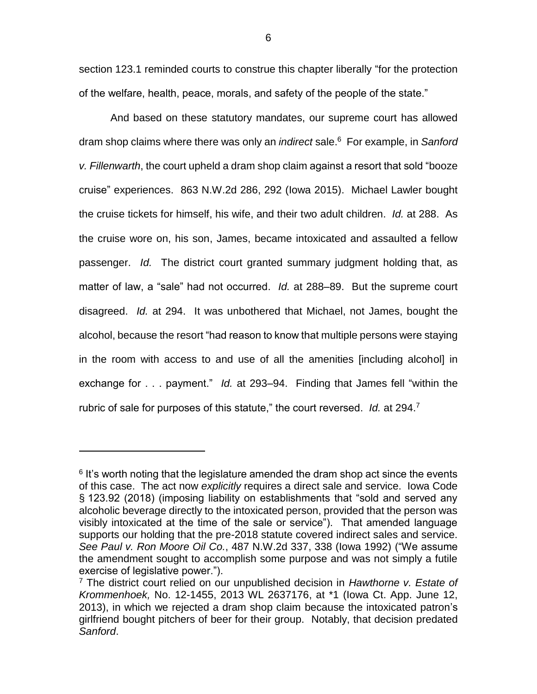section 123.1 reminded courts to construe this chapter liberally "for the protection of the welfare, health, peace, morals, and safety of the people of the state."

And based on these statutory mandates, our supreme court has allowed dram shop claims where there was only an *indirect* sale.<sup>6</sup> For example, in *Sanford v. Fillenwarth*, the court upheld a dram shop claim against a resort that sold "booze cruise" experiences. 863 N.W.2d 286, 292 (Iowa 2015). Michael Lawler bought the cruise tickets for himself, his wife, and their two adult children. *Id.* at 288. As the cruise wore on, his son, James, became intoxicated and assaulted a fellow passenger. *Id.* The district court granted summary judgment holding that, as matter of law, a "sale" had not occurred. *Id.* at 288–89. But the supreme court disagreed. *Id.* at 294. It was unbothered that Michael, not James, bought the alcohol, because the resort "had reason to know that multiple persons were staying in the room with access to and use of all the amenities [including alcohol] in exchange for . . . payment." *Id.* at 293–94. Finding that James fell "within the rubric of sale for purposes of this statute," the court reversed. *Id.* at 294.<sup>7</sup>

 $6$  It's worth noting that the legislature amended the dram shop act since the events of this case. The act now *explicitly* requires a direct sale and service. Iowa Code § 123.92 (2018) (imposing liability on establishments that "sold and served any alcoholic beverage directly to the intoxicated person, provided that the person was visibly intoxicated at the time of the sale or service"). That amended language supports our holding that the pre-2018 statute covered indirect sales and service. *See Paul v. Ron Moore Oil Co.*, 487 N.W.2d 337, 338 (Iowa 1992) ("We assume the amendment sought to accomplish some purpose and was not simply a futile exercise of legislative power.").

<sup>7</sup> The district court relied on our unpublished decision in *Hawthorne v. Estate of Krommenhoek,* No. 12-1455, 2013 WL 2637176, at \*1 (Iowa Ct. App. June 12, 2013), in which we rejected a dram shop claim because the intoxicated patron's girlfriend bought pitchers of beer for their group. Notably, that decision predated *Sanford*.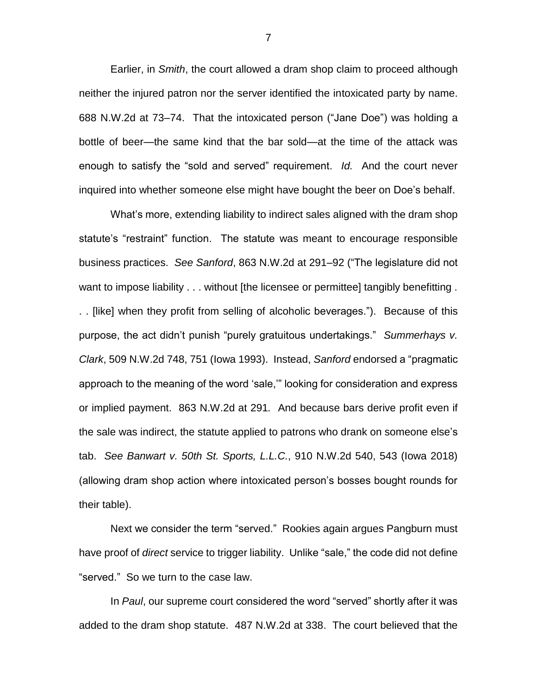Earlier, in *Smith*, the court allowed a dram shop claim to proceed although neither the injured patron nor the server identified the intoxicated party by name. 688 N.W.2d at 73–74. That the intoxicated person ("Jane Doe") was holding a bottle of beer—the same kind that the bar sold—at the time of the attack was enough to satisfy the "sold and served" requirement. *Id.* And the court never inquired into whether someone else might have bought the beer on Doe's behalf.

What's more, extending liability to indirect sales aligned with the dram shop statute's "restraint" function. The statute was meant to encourage responsible business practices. *See Sanford*, 863 N.W.2d at 291–92 ("The legislature did not want to impose liability . . . without [the licensee or permittee] tangibly benefitting . . . [like] when they profit from selling of alcoholic beverages."). Because of this purpose, the act didn't punish "purely gratuitous undertakings." *Summerhays v. Clark*, 509 N.W.2d 748, 751 (Iowa 1993). Instead, *Sanford* endorsed a "pragmatic approach to the meaning of the word 'sale,'" looking for consideration and express or implied payment. 863 N.W.2d at 291*.* And because bars derive profit even if the sale was indirect, the statute applied to patrons who drank on someone else's tab. *See Banwart v. 50th St. Sports, L.L.C.*, 910 N.W.2d 540, 543 (Iowa 2018) (allowing dram shop action where intoxicated person's bosses bought rounds for their table).

Next we consider the term "served." Rookies again argues Pangburn must have proof of *direct* service to trigger liability. Unlike "sale," the code did not define "served." So we turn to the case law.

In *Paul*, our supreme court considered the word "served" shortly after it was added to the dram shop statute. 487 N.W.2d at 338. The court believed that the

7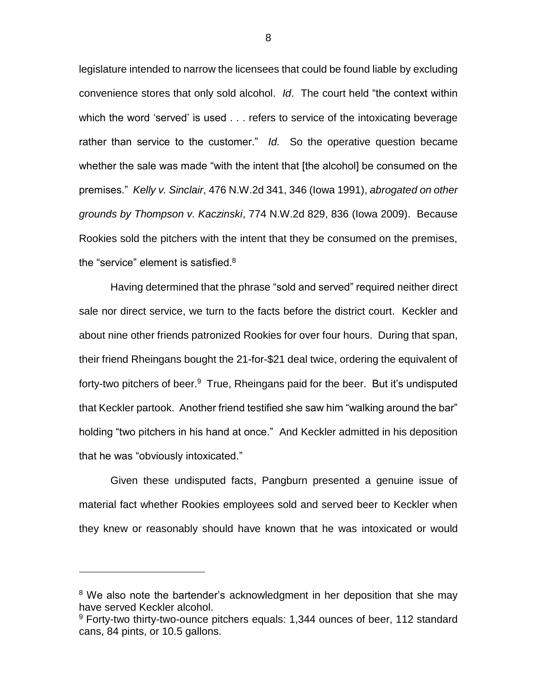legislature intended to narrow the licensees that could be found liable by excluding convenience stores that only sold alcohol. *Id*. The court held "the context within which the word 'served' is used . . . refers to service of the intoxicating beverage rather than service to the customer." *Id.* So the operative question became whether the sale was made "with the intent that [the alcohol] be consumed on the premises." *Kelly v. Sinclair*, 476 N.W.2d 341, 346 (Iowa 1991), *abrogated on other grounds by Thompson v. Kaczinski*, 774 N.W.2d 829, 836 (Iowa 2009). Because Rookies sold the pitchers with the intent that they be consumed on the premises, the "service" element is satisfied.<sup>8</sup>

Having determined that the phrase "sold and served" required neither direct sale nor direct service, we turn to the facts before the district court. Keckler and about nine other friends patronized Rookies for over four hours. During that span, their friend Rheingans bought the 21-for-\$21 deal twice, ordering the equivalent of forty-two pitchers of beer.<sup>9</sup> True, Rheingans paid for the beer. But it's undisputed that Keckler partook. Another friend testified she saw him "walking around the bar" holding "two pitchers in his hand at once." And Keckler admitted in his deposition that he was "obviously intoxicated."

Given these undisputed facts, Pangburn presented a genuine issue of material fact whether Rookies employees sold and served beer to Keckler when they knew or reasonably should have known that he was intoxicated or would

<sup>&</sup>lt;sup>8</sup> We also note the bartender's acknowledgment in her deposition that she may have served Keckler alcohol.

 $9$  Forty-two thirty-two-ounce pitchers equals: 1,344 ounces of beer, 112 standard cans, 84 pints, or 10.5 gallons.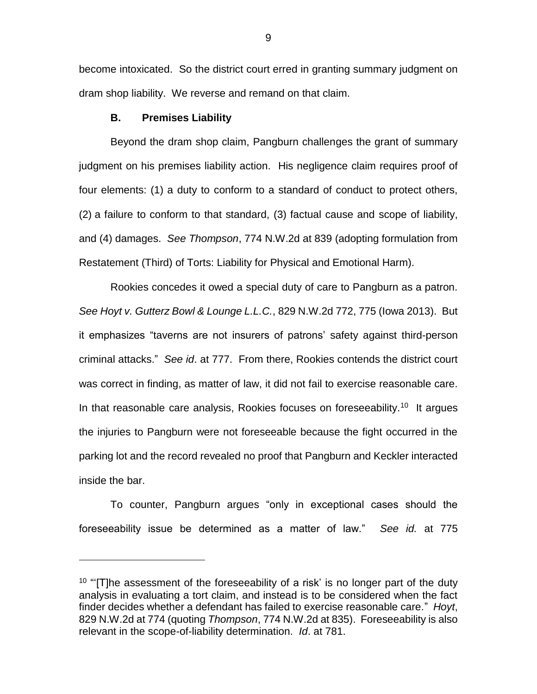become intoxicated. So the district court erred in granting summary judgment on dram shop liability. We reverse and remand on that claim.

## **B. Premises Liability**

 $\overline{a}$ 

Beyond the dram shop claim, Pangburn challenges the grant of summary judgment on his premises liability action. His negligence claim requires proof of four elements: (1) a duty to conform to a standard of conduct to protect others, (2) a failure to conform to that standard, (3) factual cause and scope of liability, and (4) damages. *See Thompson*, 774 N.W.2d at 839 (adopting formulation from Restatement (Third) of Torts: Liability for Physical and Emotional Harm).

Rookies concedes it owed a special duty of care to Pangburn as a patron. *See Hoyt v. Gutterz Bowl & Lounge L.L.C.*, 829 N.W.2d 772, 775 (Iowa 2013). But it emphasizes "taverns are not insurers of patrons' safety against third-person criminal attacks." *See id*. at 777. From there, Rookies contends the district court was correct in finding, as matter of law, it did not fail to exercise reasonable care. In that reasonable care analysis, Rookies focuses on foreseeability.<sup>10</sup> It argues the injuries to Pangburn were not foreseeable because the fight occurred in the parking lot and the record revealed no proof that Pangburn and Keckler interacted inside the bar.

To counter, Pangburn argues "only in exceptional cases should the foreseeability issue be determined as a matter of law." *See id.* at 775

 $10$  "[T]he assessment of the foreseeability of a risk' is no longer part of the duty analysis in evaluating a tort claim, and instead is to be considered when the fact finder decides whether a defendant has failed to exercise reasonable care." *Hoyt*, 829 N.W.2d at 774 (quoting *Thompson*, 774 N.W.2d at 835). Foreseeability is also relevant in the scope-of-liability determination. *Id*. at 781.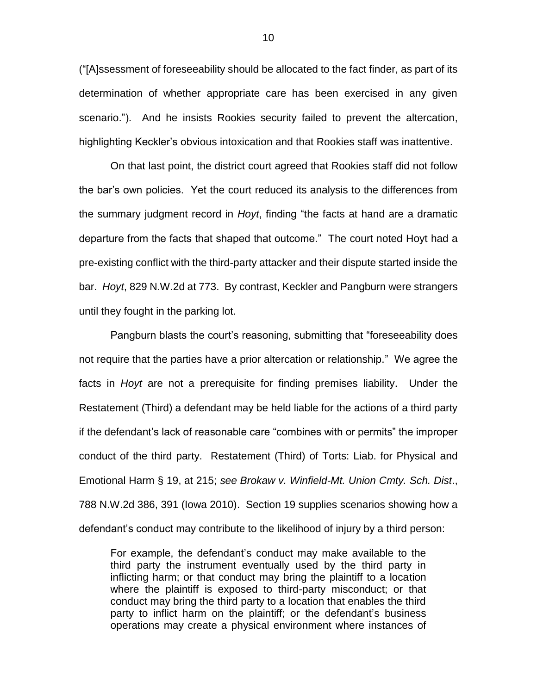("[A]ssessment of foreseeability should be allocated to the fact finder, as part of its determination of whether appropriate care has been exercised in any given scenario."). And he insists Rookies security failed to prevent the altercation, highlighting Keckler's obvious intoxication and that Rookies staff was inattentive.

On that last point, the district court agreed that Rookies staff did not follow the bar's own policies. Yet the court reduced its analysis to the differences from the summary judgment record in *Hoyt*, finding "the facts at hand are a dramatic departure from the facts that shaped that outcome." The court noted Hoyt had a pre-existing conflict with the third-party attacker and their dispute started inside the bar. *Hoyt*, 829 N.W.2d at 773. By contrast, Keckler and Pangburn were strangers until they fought in the parking lot.

Pangburn blasts the court's reasoning, submitting that "foreseeability does not require that the parties have a prior altercation or relationship." We agree the facts in *Hoyt* are not a prerequisite for finding premises liability. Under the Restatement (Third) a defendant may be held liable for the actions of a third party if the defendant's lack of reasonable care "combines with or permits" the improper conduct of the third party. Restatement (Third) of Torts: Liab. for Physical and Emotional Harm § 19, at 215; *see Brokaw v. Winfield-Mt. Union Cmty. Sch. Dist*., 788 N.W.2d 386, 391 (Iowa 2010). Section 19 supplies scenarios showing how a defendant's conduct may contribute to the likelihood of injury by a third person:

For example, the defendant's conduct may make available to the third party the instrument eventually used by the third party in inflicting harm; or that conduct may bring the plaintiff to a location where the plaintiff is exposed to third-party misconduct; or that conduct may bring the third party to a location that enables the third party to inflict harm on the plaintiff; or the defendant's business operations may create a physical environment where instances of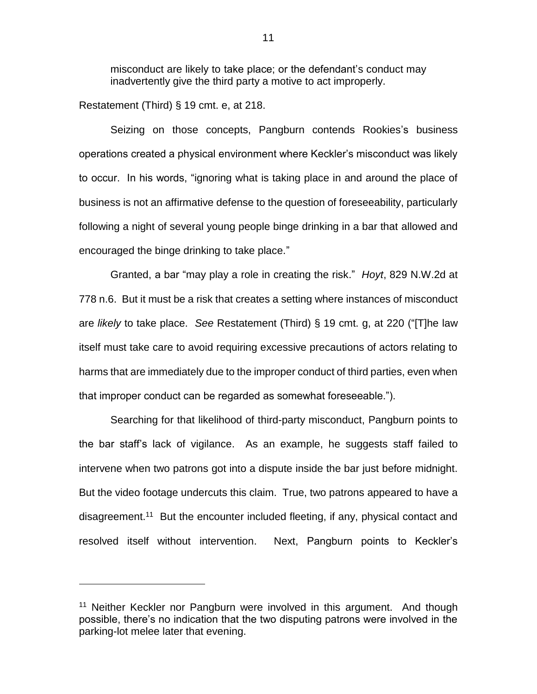misconduct are likely to take place; or the defendant's conduct may inadvertently give the third party a motive to act improperly.

Restatement (Third) § 19 cmt. e, at 218.

 $\overline{a}$ 

Seizing on those concepts, Pangburn contends Rookies's business operations created a physical environment where Keckler's misconduct was likely to occur. In his words, "ignoring what is taking place in and around the place of business is not an affirmative defense to the question of foreseeability, particularly following a night of several young people binge drinking in a bar that allowed and encouraged the binge drinking to take place."

Granted, a bar "may play a role in creating the risk." *Hoyt*, 829 N.W.2d at 778 n.6. But it must be a risk that creates a setting where instances of misconduct are *likely* to take place. *See* Restatement (Third) § 19 cmt. g, at 220 ("[T]he law itself must take care to avoid requiring excessive precautions of actors relating to harms that are immediately due to the improper conduct of third parties, even when that improper conduct can be regarded as somewhat foreseeable.").

Searching for that likelihood of third-party misconduct, Pangburn points to the bar staff's lack of vigilance. As an example, he suggests staff failed to intervene when two patrons got into a dispute inside the bar just before midnight. But the video footage undercuts this claim. True, two patrons appeared to have a disagreement.<sup>11</sup> But the encounter included fleeting, if any, physical contact and resolved itself without intervention. Next, Pangburn points to Keckler's

<sup>&</sup>lt;sup>11</sup> Neither Keckler nor Pangburn were involved in this argument. And though possible, there's no indication that the two disputing patrons were involved in the parking-lot melee later that evening.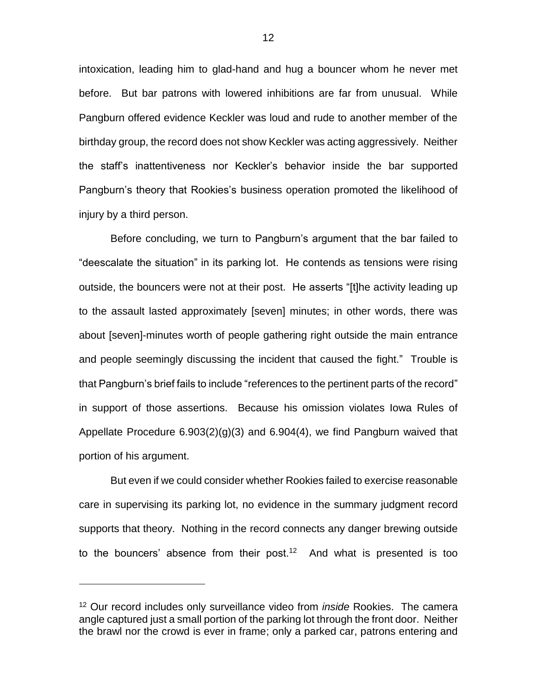intoxication, leading him to glad-hand and hug a bouncer whom he never met before. But bar patrons with lowered inhibitions are far from unusual. While Pangburn offered evidence Keckler was loud and rude to another member of the birthday group, the record does not show Keckler was acting aggressively. Neither the staff's inattentiveness nor Keckler's behavior inside the bar supported Pangburn's theory that Rookies's business operation promoted the likelihood of injury by a third person.

Before concluding, we turn to Pangburn's argument that the bar failed to "deescalate the situation" in its parking lot. He contends as tensions were rising outside, the bouncers were not at their post. He asserts "[t]he activity leading up to the assault lasted approximately [seven] minutes; in other words, there was about [seven]-minutes worth of people gathering right outside the main entrance and people seemingly discussing the incident that caused the fight." Trouble is that Pangburn's brief fails to include "references to the pertinent parts of the record" in support of those assertions. Because his omission violates Iowa Rules of Appellate Procedure 6.903(2)(g)(3) and 6.904(4), we find Pangburn waived that portion of his argument.

But even if we could consider whether Rookies failed to exercise reasonable care in supervising its parking lot, no evidence in the summary judgment record supports that theory. Nothing in the record connects any danger brewing outside to the bouncers' absence from their post.<sup>12</sup> And what is presented is too

<sup>12</sup> Our record includes only surveillance video from *inside* Rookies. The camera angle captured just a small portion of the parking lot through the front door. Neither the brawl nor the crowd is ever in frame; only a parked car, patrons entering and